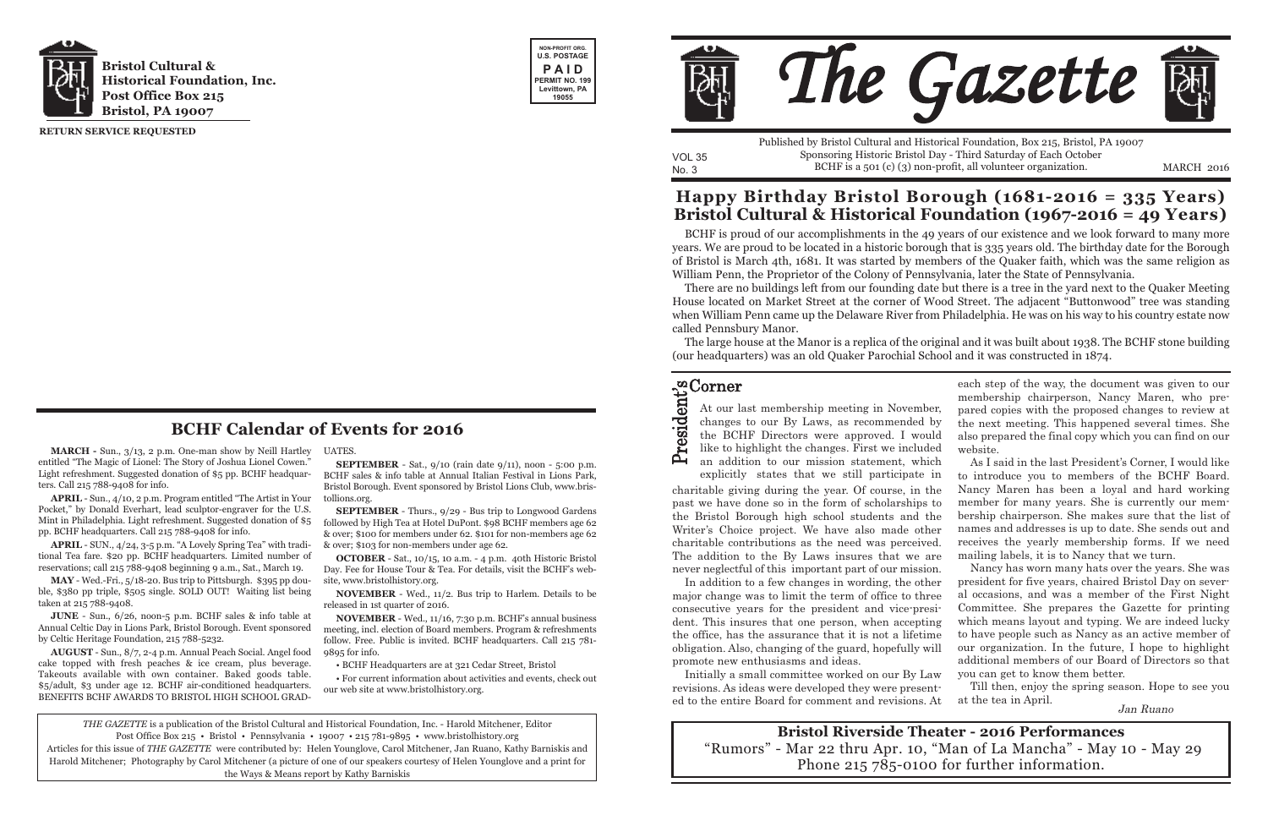**MARCH -** Sun., 3/13, 2 p.m. One-man show by Neill Hartley entitled "The Magic of Lionel: The Story of Joshua Lionel Cowen." Light refreshment. Suggested donation of \$5 pp. BCHF headquarters. Call 215 788-9408 for info.

**APRIL** - Sun., 4/10, 2 p.m. Program entitled "The Artist in Your Pocket," by Donald Everhart, lead sculptor-engraver for the U.S. Mint in Philadelphia. Light refreshment. Suggested donation of \$5 pp. BCHF headquarters. Call 215 788-9408 for info.

**APRIL** - SUN., 4/24, 3-5 p.m. "A Lovely Spring Tea" with traditional Tea fare. \$20 pp. BCHF headquarters. Limited number of reservations; call 215 788-9408 beginning 9 a.m., Sat., March 19.

**MAY** - Wed.-Fri., 5/18-20. Bus trip to Pittsburgh. \$395 pp double, \$380 pp triple, \$505 single. SOLD OUT! Waiting list being taken at 215 788-9408.

**SEPTEMBER** - Sat., 9/10 (rain date 9/11), noon - 5:00 p.m. BCHF sales & info table at Annual Italian Festival in Lions Park, Bristol Borough. Event sponsored by Bristol Lions Club, www.bristollions.org.

**JUNE** - Sun., 6/26, noon-5 p.m. BCHF sales & info table at Annual Celtic Day in Lions Park, Bristol Borough. Event sponsored by Celtic Heritage Foundation, 215 788-5232.

**AUGUST** - Sun., 8/7, 2-4 p.m. Annual Peach Social. Angel food cake topped with fresh peaches & ice cream, plus beverage. Takeouts available with own container. Baked goods table. \$5/adult, \$3 under age 12. BCHF air-c0nditioned headquarters. BENEFITS BCHF AWARDS TO BRISTOL HIGH SCHOOL GRAD-

UATES.

No. 3 BCHF is a 501 (c) (3) non-profit, all volunteer organization. MARCH 2016 Published by Bristol Cultural and Historical Foundation, Box 215, Bristol, PA 19007 Sponsoring Historic Bristol Day - Third Saturday of Each October

**SEPTEMBER** - Thurs., 9/29 - Bus trip to Longwood Gardens followed by High Tea at Hotel DuPont. \$98 BCHF members age 62 & over; \$100 for members under 62. \$101 for non-members age 62 & over; \$103 for non-members under age 62.

**OCTOBER** - Sat., 10/15, 10 a.m. - 4 p.m. 40th Historic Bristol Day. Fee for House Tour & Tea. For details, visit the BCHF's website, www.bristolhistory.org.

**NOVEMBER** - Wed., 11/2. Bus trip to Harlem. Details to be released in 1st quarter of 2016.

**NOVEMBER** - Wed., 11/16, 7:30 p.m. BCHF's annual business meeting, incl. election of Board members. Program & refreshments follow. Free. Public is invited. BCHF headquarters. Call 215 781- 9895 for info.

• BCHF Headquarters are at 321 Cedar Street, Bristol

### Corner t<br>≎

• For current information about activities and events, check out our web site at www.bristolhistory.org.





VOL 35

revisions. As ideas were developed they were presented to the entire Board for comment and revisions. At Till then, enjoy the spring season. Hope to see you at the tea in April.<br>Jan Ruano

**RETURN SERVICE REQUESTED**

*THE GAZETTE* is a publication of the Bristol Cultural and Historical Foundation, Inc. - Harold Mitchener, Editor Post Office Box 215 • Bristol • Pennsylvania • 19007 • 215 781-9895 • www.bristolhistory.org

Articles for this issue of *THE GAZETTE* were contributed by: Helen Younglove, Carol Mitchener, Jan Ruano, Kathy Barniskis and Harold Mitchener; Photography by Carol Mitchener (a picture of one of our speakers courtesy of Helen Younglove and a print for the Ways & Means report by Kathy Barniskis



### **BCHF Calendar of Events for 2016**

BCHF is proud of our accomplishments in the 49 years of our existence and we look forward to many more years. We are proud to be located in a historic borough that is 335 years old. The birthday date for the Borough of Bristol is March 4th, 1681. It was started by members of the Quaker faith, which was the same religion as William Penn, the Proprietor of the Colony of Pennsylvania, later the State of Pennsylvania.

There are no buildings left from our founding date but there is a tree in the yard next to the Quaker Meeting House located on Market Street at the corner of Wood Street. The adjacent "Buttonwood" tree was standing when William Penn came up the Delaware River from Philadelphia. He was on his way to his country estate now called Pennsbury Manor.

The large house at the Manor is a replica of the original and it was built about 1938. The BCHF stone building (our headquarters) was an old Quaker Parochial School and it was constructed in 1874.

### **Happy Birthday Bristol Borough (1681-2016 = 335 Years) Bristol Cultural & Historical Foundation (1967-2016 = 49 Years)**

**Bristol Riverside Theater - 2016 Performances** "Rumors" - Mar 22 thru Apr. 10, "Man of La Mancha" - May 10 - May 29 Phone 215 785-0100 for further information.

charitable giving during the year. Of course, in the past we have done so in the form of scholarships to the Bristol Borough high school students and the Writer's Choice project. We have also made other charitable contributions as the need was perceived. The addition to the By Laws insures that we are never neglectful of this important part of our mission.  $\blacktriangle$ explicitly states that we still participate in As I said in the last President's Corner, I would like to introduce you to members of the BCHF Board. Nancy Maren has been a loyal and hard working member for many years. She is currently our membership chairperson. She makes sure that the list of names and addresses is up to date. She sends out and receives the yearly membership forms. If we need mailing labels, it is to Nancy that we turn. Nancy has worn many hats over the years. She was

r ه ي nd.<br>D e n



In addition to a few changes in wording, the other major change was to limit the term of office to three consecutive years for the president and vice-president. This insures that one person, when accepting the office, has the assurance that it is not a lifetime obligation. Also, changing of the guard, hopefully will promote new enthusiasms and ideas. Initially a small committee worked on our By Law president for five years, chaired Bristol Day on several occasions, and was a member of the First Night Committee. She prepares the Gazette for printing which means layout and typing. We are indeed lucky to have people such as Nancy as an active member of our organization. In the future, I hope to highlight additional members of our Board of Directors so that you can get to know them better.

each step of the way, the document was given to our membership chairperson, Nancy Maren, who prepared copies with the proposed changes to review at the next meeting. This happened several times. She also prepared the final copy which you can find on our website.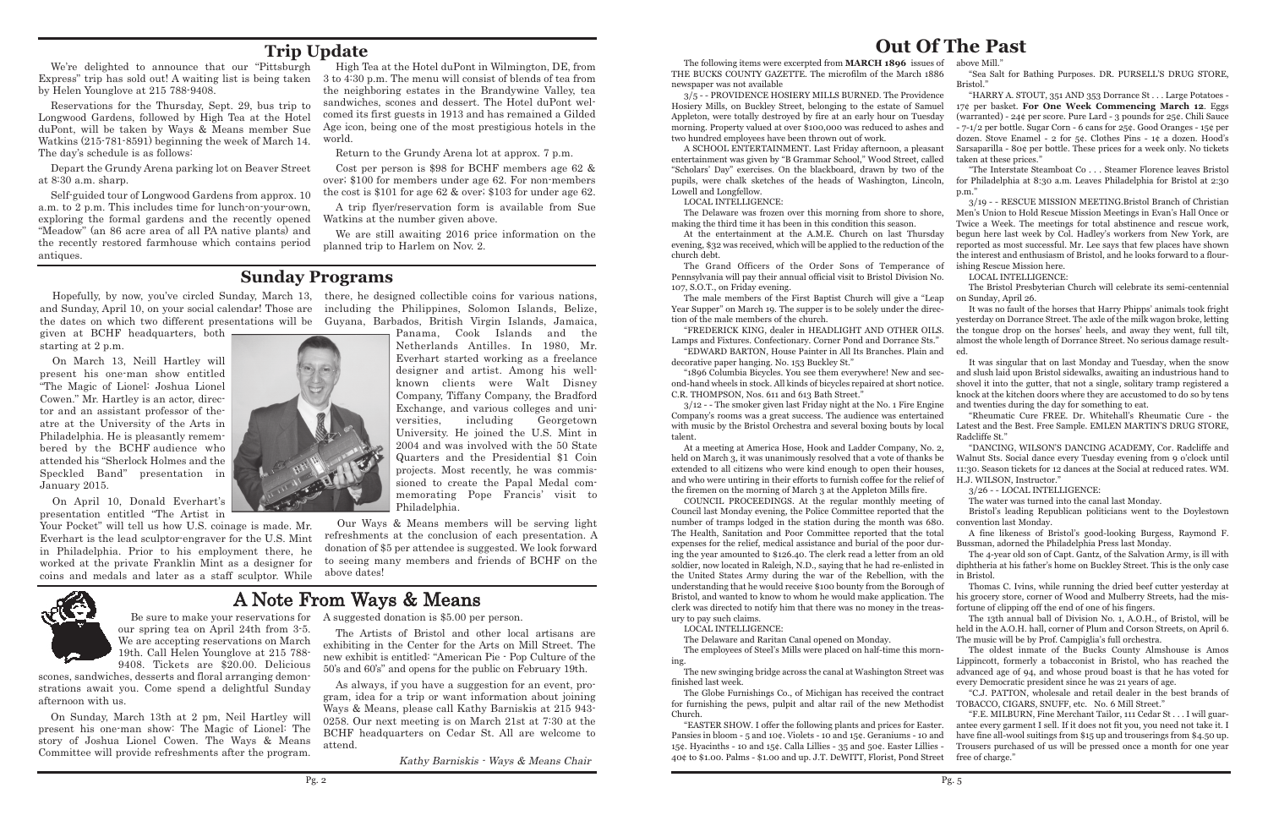## **Out Of The Past**

"Scholars' Day" exercises. On the blackboard, drawn by two of the pupils, were chalk sketches of the heads of Washington, Lincoln, Lowell and Longfellow.

LOCAL INTELLIGENCE:

The Grand Officers of the Order Sons of Temperance of Pennsylvania will pay their annual official visit to Bristol Division No. 107, S.O.T., on Friday evening.

The male members of the First Baptist Church will give a "Leap

decorative paper hanging. No. 153 Buckley St."

The following items were excerpted from **MARCH 1896** issues of THE BUCKS COUNTY GAZETTE. The microfilm of the March 1886 newspaper was not available above Mill.' "Sea Salt for Bathing Purposes. DR. PURSELL'S DRUG STORE, Bristol."

3/5 - - PROVIDENCE HOSIERY MILLS BURNED. The Providence Hosiery Mills, on Buckley Street, belonging to the estate of Samuel Appleton, were totally destroyed by fire at an early hour on Tuesday morning. Property valued at over \$100,000 was reduced to ashes and two hundred employees have been thrown out of work. A SCHOOL ENTERTAINMENT. Last Friday afternoon, a pleasant entertainment was given by "B Grammar School," Wood Street, called "HARRY A. STOUT, 351 AND 353 Dorrance St . . . Large Potatoes - 17¢ per basket. **For One Week Commencing March 12**. Eggs (warranted) - 24¢ per score. Pure Lard - 3 pounds for 25¢. Chili Sauce - 7-1/2 per bottle. Sugar Corn - 6 cans for 25¢. Good Oranges - 15¢ per dozen. Stove Enamel - 2 for 5¢. Clothes Pins - 1¢ a dozen. Hood's Sarsaparilla - 80¢ per bottle. These prices for a week only. No tickets taken at these prices."

The Delaware was frozen over this morning from shore to shore, making the third time it has been in this condition this season. At the entertainment at the A.M.E. Church on last Thursday evening, \$32 was received, which will be applied to the reduction of the church debt. 3/19 - - RESCUE MISSION MEETING.Bristol Branch of Christian Men's Union to Hold Rescue Mission Meetings in Evan's Hall Once or Twice a Week. The meetings for total abstinence and rescue work, begun here last week by Col. Hadley's workers from New York, are reported as most successful. Mr. Lee says that few places have shown the interest and enthusiasm of Bristol, and he looks forward to a flourishing Rescue Mission here.

LOCAL INTELLIGENCE:

The Delaware and Raritan Canal opened on Monday.

Year Supper" on March 19. The supper is to be solely under the direction of the male members of the church. "FREDERICK KING, dealer in HEADLIGHT AND OTHER OILS. Lamps and Fixtures. Confectionary. Corner Pond and Dorrance Sts." "EDWARD BARTON, House Painter in All Its Branches. Plain and It was no fault of the horses that Harry Phipps' animals took fright yesterday on Dorrance Street. The axle of the milk wagon broke, letting the tongue drop on the horses' heels, and away they went, full tilt, almost the whole length of Dorrance Street. No serious damage resulted.

"1896 Columbia Bicycles. You see them everywhere! New and second-hand wheels in stock. All kinds of bicycles repaired at short notice. C.R. THOMPSON, Nos. 611 and 613 Bath Street." 3/12 - - The smoker given last Friday night at the No. 1 Fire Engine It was singular that on last Monday and Tuesday, when the snow and slush laid upon Bristol sidewalks, awaiting an industrious hand to shovel it into the gutter, that not a single, solitary tramp registered a knock at the kitchen doors where they are accustomed to do so by tens and twenties during the day for something to eat.

Company's rooms was a great success. The audience was entertained with music by the Bristol Orchestra and several boxing bouts by local talent. "Rheumatic Cure FREE. Dr. Whitehall's Rheumatic Cure - the Latest and the Best. Free Sample. EMLEN MARTIN'S DRUG STORE, Radcliffe St."

At a meeting at America Hose, Hook and Ladder Company, No. 2, held on March 3, it was unanimously resolved that a vote of thanks be extended to all citizens who were kind enough to open their houses, and who were untiring in their efforts to furnish coffee for the relief of the firemen on the morning of March 3 at the Appleton Mills fire. "DANCING, WILSON'S DANCING ACADEMY, Cor. Radcliffe and Walnut Sts. Social dance every Tuesday evening from 9 o'clock until 11:30. Season tickets for 12 dances at the Social at reduced rates. WM. H.J. WILSON, Instructor." 3/26 - - LOCAL INTELLIGENCE:

Your Pocket" will tell us how U.S. coinage is made. Mr. Everhart is the lead sculptor-engraver for the U.S. Mint in Philadelphia. Prior to his employment there, he worked at the private Franklin Mint as a designer for coins and medals and later as a staff sculptor. While



"The Interstate Steamboat Co . . . Steamer Florence leaves Bristol for Philadelphia at 8:30 a.m. Leaves Philadelphia for Bristol at 2:30 p.m."

COUNCIL PROCEEDINGS. At the regular monthly meeting of Council last Monday evening, the Police Committee reported that the number of tramps lodged in the station during the month was 680. The Health, Sanitation and Poor Committee reported that the total expenses for the relief, medical assistance and burial of the poor during the year amounted to \$126.40. The clerk read a letter from an old soldier, now located in Raleigh, N.D., saying that he had re-enlisted in the United States Army during the war of the Rebellion, with the understanding that he would receive \$100 bounty from the Borough of Bristol, and wanted to know to whom he would make application. The clerk was directed to notify him that there was no money in the treasury to pay such claims. The water was turned into the canal last Monday. Bristol's leading Republican politicians went to the Doylestown convention last Monday. A fine likeness of Bristol's good-looking Burgess, Raymond F. Bussman, adorned the Philadelphia Press last Monday. The 4-year old son of Capt. Gantz, of the Salvation Army, is ill with diphtheria at his father's home on Buckley Street. This is the only case in Bristol. Thomas C. Ivins, while running the dried beef cutter yesterday at his grocery store, corner of Wood and Mulberry Streets, had the misfortune of clipping off the end of one of his fingers. The 13th annual ball of Division No. 1, A.O.H., of Bristol, will be

LOCAL INTELLIGENCE:

Self-guided tour of Longwood Gardens from approx. 10 a.m. to 2 p.m. This includes time for lunch-on-your-own, exploring the formal gardens and the recently opened "Meadow" (an 86 acre area of all PA native plants) and the recently restored farmhouse which contains period antiques.

> The Bristol Presbyterian Church will celebrate its semi-centennial on Sunday, April 26.

The employees of Steel's Mills were placed on half-time this morning. The new swinging bridge across the canal at Washington Street was finished last week. The oldest inmate of the Bucks County Almshouse is Amos Lippincott, formerly a tobacconist in Bristol, who has reached the advanced age of 94, and whose proud boast is that he has voted for every Democratic president since he was 21 years of age.

The Globe Furnishings Co., of Michigan has received the contract for furnishing the pews, pulpit and altar rail of the new Methodist Church. "C.J. PATTON, wholesale and retail dealer in the best brands of TOBACCO, CIGARS, SNUFF, etc. No. 6 Mill Street." "F.E. MILBURN, Fine Merchant Tailor, 111 Cedar St . . . I will guar-

"EASTER SHOW. I offer the following plants and prices for Easter. Pansies in bloom - 5 and 10¢. Violets - 10 and 15¢. Geraniums - 10 and 15¢. Hyacinths - 10 and 15¢. Calla Lillies - 35 and 50¢. Easter Lillies - 40¢ to \$1.00. Palms - \$1.00 and up. J.T. DeWITT, Florist, Pond Street antee every garment I sell. If it does not fit you, you need not take it. I have fine all-wool suitings from \$15 up and trouserings from \$4.50 up. Trousers purchased of us will be pressed once a month for one year free of charge."

held in the A.O.H. hall, corner of Plum and Corson Streets, on April 6. The music will be by Prof. Campiglia's full orchestra.

### **Sunday Programs**

given at BCHF headquarters, both starting at 2 p.m.

On March 13, Neill Hartley will present his one-man show entitled "The Magic of Lionel: Joshua Lionel Cowen." Mr. Hartley is an actor, director and an assistant professor of theatre at the University of the Arts in Philadelphia. He is pleasantly remembered by the BCHF audience who attended his "Sherlock Holmes and the Speckled Band" presentation in January 2015.

Hopefully, by now, you've circled Sunday, March 13, there, he designed collectible coins for various nations, and Sunday, April 10, on your social calendar! Those are including the Philippines, Solomon Islands, Belize, the dates on which two different presentations will be Guyana, Barbados, British Virgin Islands, Jamaica,

On April 10, Donald Everhart's presentation entitled "The Artist in

Panama, Cook Islands and the Netherlands Antilles. In 1980, Mr. Everhart started working as a freelance designer and artist. Among his wellknown clients were Walt Disney Company, Tiffany Company, the Bradford Exchange, and various colleges and universities, including Georgetown University. He joined the U.S. Mint in 2004 and was involved with the 50 State Quarters and the Presidential \$1 Coin projects. Most recently, he was commissioned to create the Papal Medal commemorating Pope Francis' visit to Philadelphia.

Our Ways & Means members will be serving light refreshments at the conclusion of each presentation. A donation of \$5 per attendee is suggested. We look forward to seeing many members and friends of BCHF on the above dates!

## **Trip Update**

We're delighted to announce that our "Pittsburgh Express" trip has sold out! A waiting list is being taken by Helen Younglove at 215 788-9408.

Reservations for the Thursday, Sept. 29, bus trip to Longwood Gardens, followed by High Tea at the Hotel duPont, will be taken by Ways & Means member Sue Watkins (215-781-8591) beginning the week of March 14. The day's schedule is as follows:

Depart the Grundy Arena parking lot on Beaver Street at 8:30 a.m. sharp.

High Tea at the Hotel duPont in Wilmington, DE, from 3 to 4:30 p.m. The menu will consist of blends of tea from the neighboring estates in the Brandywine Valley, tea sandwiches, scones and dessert. The Hotel duPont welcomed its first guests in 1913 and has remained a Gilded Age icon, being one of the most prestigious hotels in the world.

Return to the Grundy Arena lot at approx. 7 p.m.

Cost per person is \$98 for BCHF members age 62 & over; \$100 for members under age 62. For non-members the cost is \$101 for age 62 & over; \$103 for under age 62.

A trip flyer/reservation form is available from Sue Watkins at the number given above.

We are still awaiting 2016 price information on the planned trip to Harlem on Nov. 2.

# A Note From Ways & Means

our spring tea on April 24th from 3-5. We are accepting reservations on March 19th. Call Helen Younglove at 215 788- 9408. Tickets are \$20.00. Delicious

scones, sandwiches, desserts and floral arranging demonstrations await you. Come spend a delightful Sunday afternoon with us.

Be sure to make your reservations for A suggested donation is \$5.00 per person.

On Sunday, March 13th at 2 pm, Neil Hartley will present his one-man show: The Magic of Lionel: The story of Joshua Lionel Cowen. The Ways & Means Committee will provide refreshments after the program.

The Artists of Bristol and other local artisans are exhibiting in the Center for the Arts on Mill Street. The new exhibit is entitled: "American Pie - Pop Culture of the 50's and 60's" and opens for the public on February 19th.

As always, if you have a suggestion for an event, program, idea for a trip or want information about joining Ways & Means, please call Kathy Barniskis at 215 943- 0258. Our next meeting is on March 21st at 7:30 at the BCHF headquarters on Cedar St. All are welcome to attend.

Kathy Barniskis - Ways & Means Chair